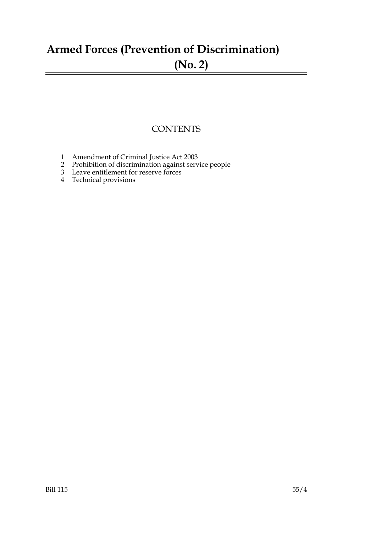## **Armed Forces (Prevention of Discrimination) (No. 2)**

### **CONTENTS**

- 1 Amendment of Criminal Justice Act 2003
- 2 Prohibition of discrimination against service people
- 3 Leave entitlement for reserve forces
- 4 Technical provisions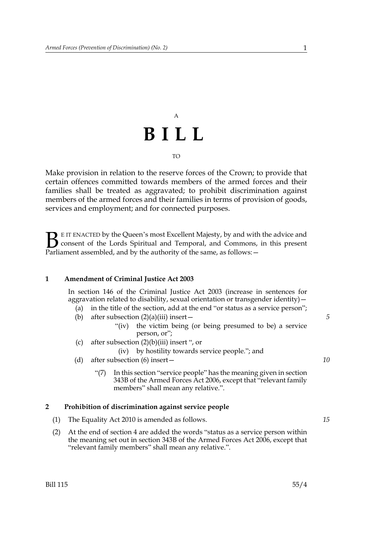### A **BILL** TO

Make provision in relation to the reserve forces of the Crown; to provide that certain offences committed towards members of the armed forces and their families shall be treated as aggravated; to prohibit discrimination against members of the armed forces and their families in terms of provision of goods, services and employment; and for connected purposes.

E IT ENACTED by the Queen's most Excellent Majesty, by and with the advice and consent of the Lords Spiritual and Temporal, and Commons, in this present **B** E IT ENACTED by the Queen's most Excellent Majesty, by and with consent of the Lords Spiritual and Temporal, and Commons, Parliament assembled, and by the authority of the same, as follows:  $-$ 

#### **1 Amendment of Criminal Justice Act 2003**

In section 146 of the Criminal Justice Act 2003 (increase in sentences for aggravation related to disability, sexual orientation or transgender identity)—

- (a) in the title of the section, add at the end "or status as a service person";
- (b) after subsection  $(2)(a)(iii)$  insert
	- "(iv) the victim being (or being presumed to be) a service person, or";
- (c) after subsection  $(2)(b)(iii)$  insert ", or

### (iv) by hostility towards service people."; and

- (d) after subsection (6) insert—
	- "(7) In this section "service people" has the meaning given in section 343B of the Armed Forces Act 2006, except that "relevant family members" shall mean any relative.".

### **2 Prohibition of discrimination against service people**

- (1) The Equality Act 2010 is amended as follows.
- (2) At the end of section 4 are added the words "status as a service person within the meaning set out in section 343B of the Armed Forces Act 2006, except that "relevant family members" shall mean any relative.".

*5*

*10*

*15*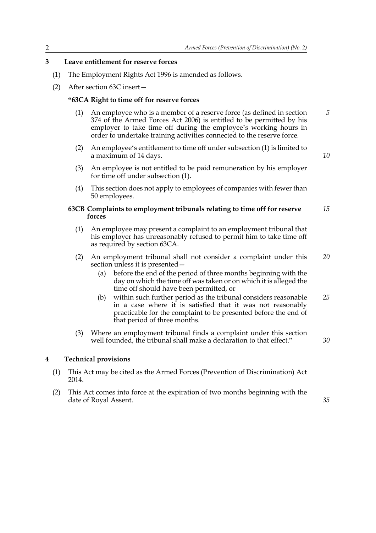#### **3 Leave entitlement for reserve forces**

- (1) The Employment Rights Act 1996 is amended as follows.
- (2) After section 63C insert—

#### **"63CA Right to time off for reserve forces**

- (1) An employee who is a member of a reserve force (as defined in section 374 of the Armed Forces Act 2006) is entitled to be permitted by his employer to take time off during the employee's working hours in order to undertake training activities connected to the reserve force. *5*
- (2) An employee's entitlement to time off under subsection (1) is limited to a maximum of 14 days.
- (3) An employee is not entitled to be paid remuneration by his employer for time off under subsection (1).
- (4) This section does not apply to employees of companies with fewer than 50 employees.

#### **63CB Complaints to employment tribunals relating to time off for reserve forces** *15*

- (1) An employee may present a complaint to an employment tribunal that his employer has unreasonably refused to permit him to take time off as required by section 63CA.
- (2) An employment tribunal shall not consider a complaint under this section unless it is presented— *20*
	- (a) before the end of the period of three months beginning with the day on which the time off was taken or on which it is alleged the time off should have been permitted, or
	- (b) within such further period as the tribunal considers reasonable in a case where it is satisfied that it was not reasonably practicable for the complaint to be presented before the end of that period of three months. *25*
- (3) Where an employment tribunal finds a complaint under this section well founded, the tribunal shall make a declaration to that effect."

#### *30*

*35*

#### **4 Technical provisions**

- (1) This Act may be cited as the Armed Forces (Prevention of Discrimination) Act 2014.
- (2) This Act comes into force at the expiration of two months beginning with the date of Royal Assent.

*10*